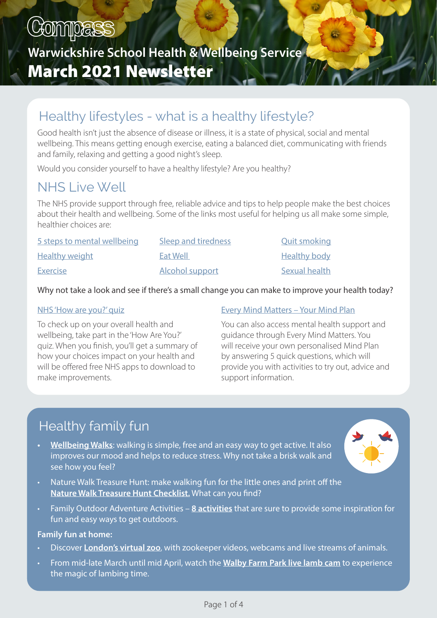# COMPESS

# Warwickshire School Health & Wellbeing Service March 2021 Newsletter

# Healthy lifestyles - what is a healthy lifestyle?

Good health isn't just the absence of disease or illness, it is a state of physical, social and mental wellbeing. This means getting enough exercise, eating a balanced diet, communicating with friends and family, relaxing and getting a good night's sleep.

Would you consider yourself to have a healthy lifestyle? Are you healthy?

# NHS Live Well

The NHS provide support through free, reliable advice and tips to help people make the best choices about their health and wellbeing. Some of the links most useful for helping us all make some simple, healthier choices are:

| 5 steps to mental wellbeing | Sleep and tiredness    | <b>Quit smoking</b> |
|-----------------------------|------------------------|---------------------|
| <b>Healthy weight</b>       | Eat Well               | <b>Healthy body</b> |
| <b>Exercise</b>             | <b>Alcohol support</b> | Sexual health       |

### Why not take a look and see if there's a small change you can make to improve your health today?

#### [NHS 'How are you?' quiz](https://cutt.ly/xlUVXTk)

To check up on your overall health and wellbeing, take part in the 'How Are You?' quiz. When you finish, you'll get a summary of how your choices impact on your health and will be offered free NHS apps to download to make improvements.

### [Every Mind Matters – Your Mind Plan](https://cutt.ly/WlUVBgG)

You can also access mental health support and guidance through Every Mind Matters. You will receive your own personalised Mind Plan by answering 5 quick questions, which will provide you with activities to try out, advice and support information.

# Healthy family fun

[Wellbeing Walks:](https://cutt.ly/nlUV1wH) walking is simple, free and an easy way to get active. It also improves our mood and helps to reduce stress. Why not take a brisk walk and see how you feel?



- Nature Walk Treasure Hunt: make walking fun for the little ones and print off the [Nature Walk Treasure Hunt Checklist.](https://cutt.ly/llUBpCr) What can you find?
- Family Outdoor Adventure Activities - [8 activities](https://cutt.ly/hlUBI5D) that are sure to provide some inspiration for fun and easy ways to get outdoors.

#### Family fun at home:

- Discover [London's virtual zoo,](https://cutt.ly/vlUNfw0) with zookeeper videos, webcams and live streams of animals.
- From mid-late March until mid April, watch the [Walby Farm Park live lamb cam](https://cutt.ly/NlUM9Qn) to experience the magic of lambing time.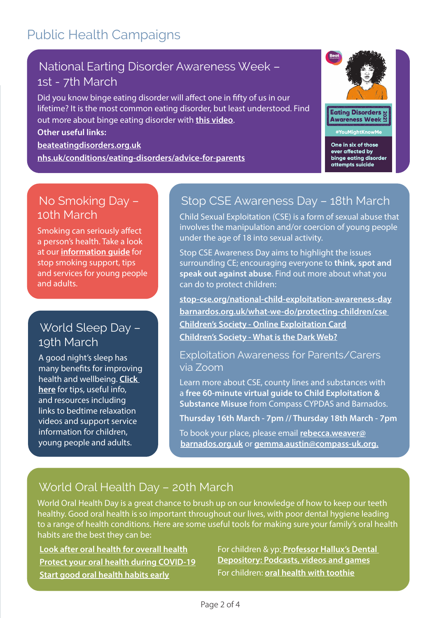# Public Health Campaigns

### National Earting Disorder Awareness Week – 1st - 7th March

Did you know binge eating disorder will affect one in fifty of us in our lifetime? It is the most common eating disorder, but least understood. Find out more about binge eating disorder with [this video.](https://cutt.ly/FlZKaXJ)

#### Other useful links:

[beateatingdisorders.org.uk](https://www.beateatingdisorders.org.uk)

[nhs.uk/conditions/eating-disorders/advice-for-parents](https://www.nhs.uk/conditions/eating-disorders/advice-for-parents)



One in six of those ever affected by binge eating disorder attempts suicide

### No Smoking Day – 10th March

Smoking can seriously affect a person's health. Take a look at our [information guide](https://cutt.ly/alL5cZq) for stop smoking support, tips and services for young people and adults.

### World Sleep Day – 19th March

A good night's sleep has many benefits for improving health and wellbeing. Click [here](https://cutt.ly/hlL76dI) for tips, useful info, and resources including links to bedtime relaxation videos and support service information for children, young people and adults.

### Stop CSE Awareness Day – 18th March

Child Sexual Exploitation (CSE) is a form of sexual abuse that involves the manipulation and/or coercion of young people under the age of 18 into sexual activity.

Stop CSE Awareness Day aims to highlight the issues surrounding CE; encouraging everyone to think, spot and speak out against abuse. Find out more about what you can do to protect children:

[stop-cse.org/national-child-exploitation-awareness-day](https://www.stop-cse.org/national-child-exploitation-awareness-day/) [barnardos.org.uk/what-we-do/protecting-children/cse](https://barnardos.org.uk/what-we-do/protecting-children/cse) Children's Society [- Online Exploitation Card](https://www.safeguardingwarwickshire.co.uk/images/downloads/Online_exploitation_Z_card.pdf) Children's Societ[y - What is the Dark Web?](https://www.safeguardingwarwickshire.co.uk/images/downloads/What_Is_The_Dark_Web.pdf)

### Exploitation Awareness for Parents/Carers via Zoom

Learn more about CSE, county lines and substances with a free 60-minute virtual guide to Child Exploitation & Substance Misuse from Compass CYPDAS and Barnados.

Thursday 16th March - 7pm // Thursday 18th March - 7pm

To book your place, please email [rebecca.weaver@](mailto:rebecca.weaver@barnados.org.uk) [barnados.org.uk](mailto:rebecca.weaver@barnados.org.uk) or [gemma.austin@compass-uk.org.](mailto:gemma.austin@compass-uk.org)

### World Oral Health Day – 20th March

World Oral Health Day is a great chance to brush up on our knowledge of how to keep our teeth healthy. Good oral health is so important throughout our lives, with poor dental hygiene leading to a range of health conditions. Here are some useful tools for making sure your family's oral health habits are the best they can be:

[Look after oral health for overall health](https://cutt.ly/mlRz3ia) [Protect your oral health during COVID-19](https://cutt.ly/ulRzNW2) [Start good oral health habits early](https://cutt.ly/PlRxrlM)

For children & yp: Professor Hallux's Dental [Depository: Podcasts, videos and games](https://cutt.ly/WlUTzXe) For children: [oral health with toothie](https://cutt.ly/vlRxsvs)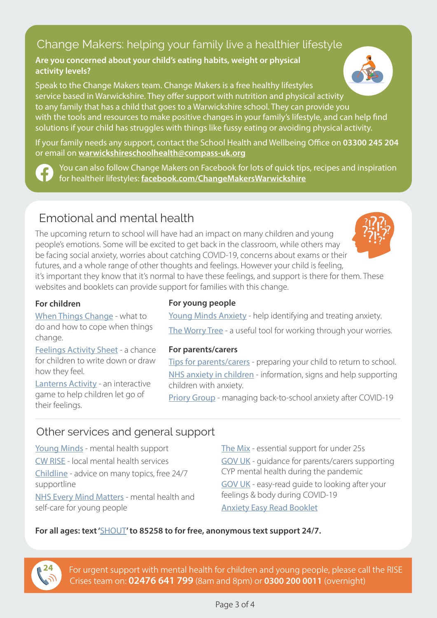### Change Makers: helping your family live a healthier lifestyle

#### Are you concerned about your child's eating habits, weight or physical activity levels?

Speak to the Change Makers team. Change Makers is a free healthy lifestyles service based in Warwickshire. They offer support with nutrition and physical activity to any family that has a child that goes to a Warwickshire school. They can provide you with the tools and resources to make positive changes in your family's lifestyle, and can help find solutions if your child has struggles with things like fussy eating or avoiding physical activity.

If your family needs any support, contact the School Health and Wellbeing Office on 03300 245 204 or email on [warwickshireschoolhealth@compass-uk.org](mailto:warwickshireschoolhealth@compass-uk.org)

You can also follow Change Makers on Facebook for lots of quick tips, recipes and inspiration for healtheir lifestyles: [facebook.com/ChangeMakersWarwickshire](https://www.facebook.com/ChangeMakersWarwickshire)

### Emotional and mental health

The upcoming return to school will have had an impact on many children and young people's emotions. Some will be excited to get back in the classroom, while others may be facing social anxiety, worries about catching COVID-19, concerns about exams or their futures, and a whole range of other thoughts and feelings. However your child is feeling,



it's important they know that it's normal to have these feelings, and support is there for them. These websites and booklets can provide support for families with this change.

### For children

[When Things Change - what to](https://cutt.ly/wlU4ED7)  [do and how to cope when things](https://cutt.ly/wlU4ED7)  [change.](https://cutt.ly/wlU4ED7)

[Feelings Activity Sheet](https://cutt.ly/qlLHJBg) - a chance for children to write down or draw how they feel.

[Lanterns Activity](https://cutt.ly/XlLHO62) - an interactive game to help children let go of their feelings.

### For young people

[Young Minds Anxiety](https://cutt.ly/9lLKihq) - help identifying and treating anxiety.

[The Worry Tree](https://cutt.ly/dlLLpnP) - a useful tool for working through your worries.

#### For parents/carers

[Tips for parents/carers](https://cutt.ly/elLXMJF) - preparing your child to return to school. [NHS anxiety in children](https://cutt.ly/klLXikm) - information, signs and help supporting children with anxiety.

[Priory Group](https://cutt.ly/dlLZKjV) - managing back-to-school anxiety after COVID-19

### Other services and general support

[Young Minds](https://cutt.ly/bhkt0Pa) - mental health support [CW RISE](https://cutt.ly/7hkt9hv) - local mental health services [Childline](https://cutt.ly/MjdvTLB) - advice on many topics, free 24/7 supportline [NHS Every Mind Matters](https://cutt.ly/fhkt6aP) - mental health and self-care for young people

[The Mix](https://cutt.ly/CjdbZP0) - essential support for under 25s [GOV UK](https://cutt.ly/gov-uk-covid-supporting-cyp-mental-health) - guidance for parents/carers supporting CYP mental health during the pandemic [GOV UK](https://cutt.ly/EhkyPJT) - easy-read guide to looking after your feelings & body during COVID-19 Anxiety [Easy Read Booklet](https://cutt.ly/hlLCwOt)

### For all ages: text '[SHOUT](https://cutt.ly/8kwS9u4)' to 85258 to for free, anonymous text support 24/7.



For urgent support with mental health for children and young people, please call the RISE Crises team on: 02476 641 799 (8am and 8pm) or 0300 200 0011 (overnight)